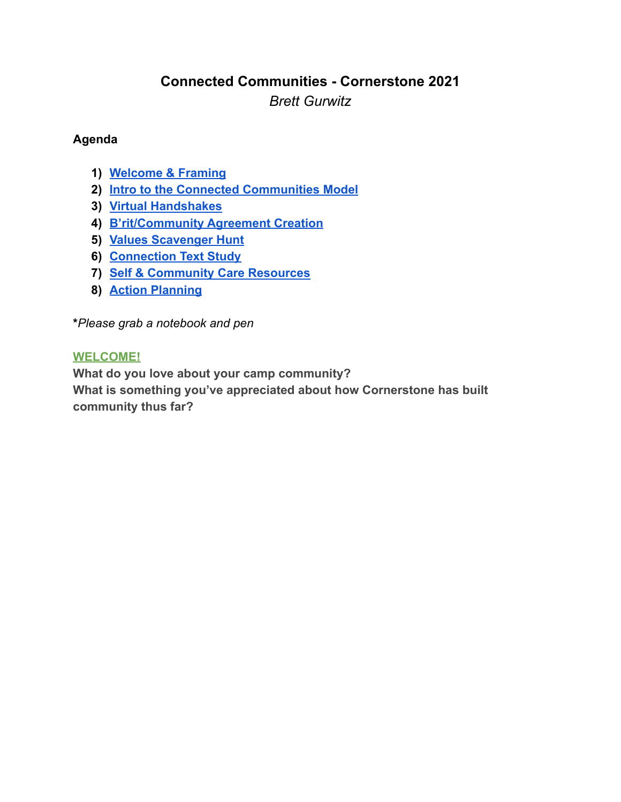# **Connected Communities - Cornerstone 2021** *Brett Gurwitz*

### **Agenda**

- **1) [Welcome & Framing](#page-0-0)**
- **2) [Intro to the Connected Communities Model](#page-1-0)**
- **3) [Virtual Handshakes](#page-2-0)**
- **4) [B'rit/Community Agreement Creation](#page-3-0)**
- **5) [Values Scavenger Hunt](#page-5-0)**
- **6) [Connection Text Study](#page-6-0)**
- **7) [Self & Community Care Resources](#page-7-0)**
- **8) [Action Planning](#page-9-0)**

**\****Please grab a notebook and pen*

### <span id="page-0-0"></span>**WELCOME!**

**What do you love about your camp community? What is something you've appreciated about how Cornerstone has built community thus far?**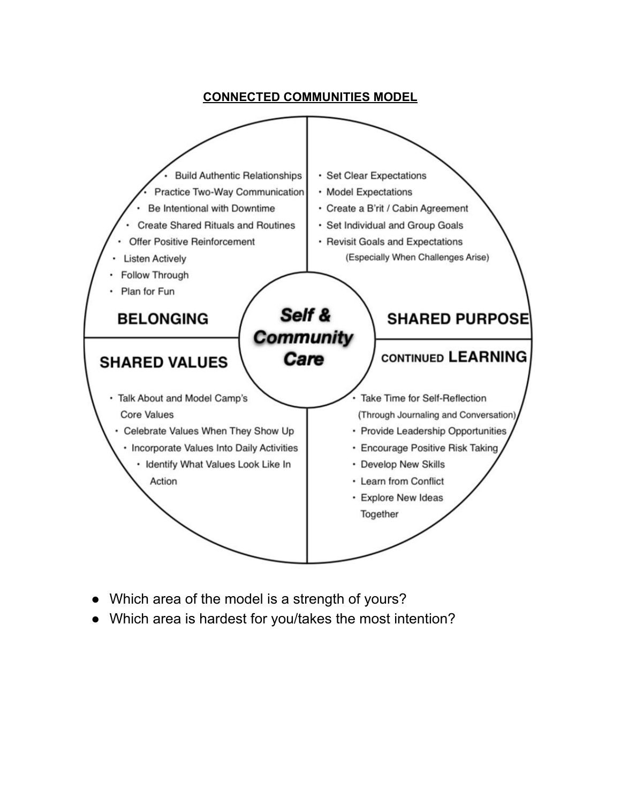### **CONNECTED COMMUNITIES MODEL**

<span id="page-1-0"></span>

- Which area of the model is a strength of yours?
- Which area is hardest for you/takes the most intention?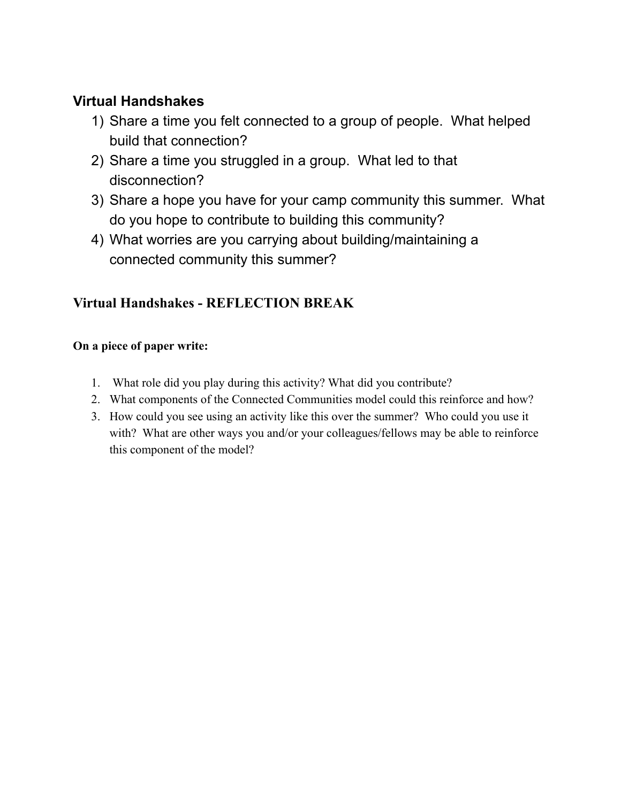# <span id="page-2-0"></span>**Virtual Handshakes**

- 1) Share a time you felt connected to a group of people. What helped build that connection?
- 2) Share a time you struggled in a group. What led to that disconnection?
- 3) Share a hope you have for your camp community this summer. What do you hope to contribute to building this community?
- 4) What worries are you carrying about building/maintaining a connected community this summer?

# **Virtual Handshakes - REFLECTION BREAK**

## **On a piece of paper write:**

- 1. What role did you play during this activity? What did you contribute?
- 2. What components of the Connected Communities model could this reinforce and how?
- 3. How could you see using an activity like this over the summer? Who could you use it with? What are other ways you and/or your colleagues/fellows may be able to reinforce this component of the model?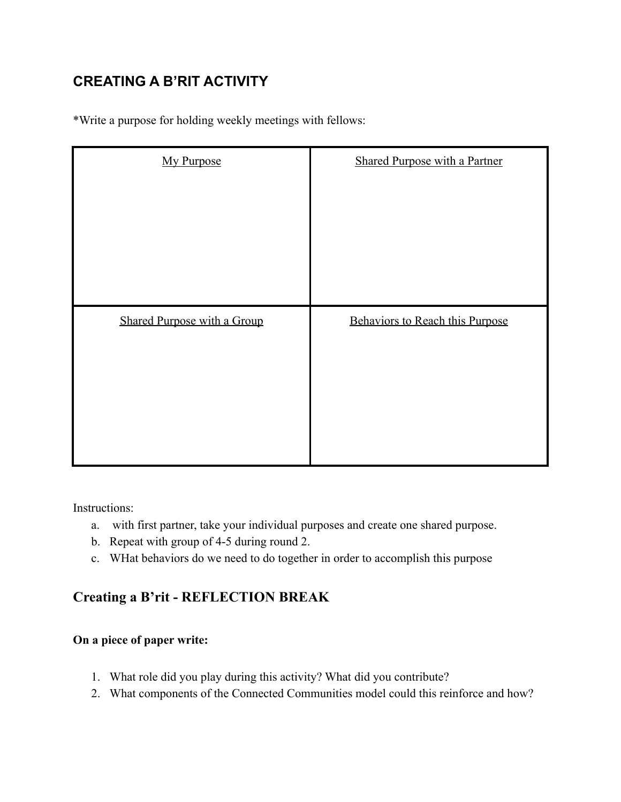# <span id="page-3-0"></span>**CREATING A B'RIT ACTIVITY**

\*Write a purpose for holding weekly meetings with fellows:

| <b>My Purpose</b>                  | <b>Shared Purpose with a Partner</b> |
|------------------------------------|--------------------------------------|
| <b>Shared Purpose with a Group</b> | Behaviors to Reach this Purpose      |
|                                    |                                      |

Instructions:

- a. with first partner, take your individual purposes and create one shared purpose.
- b. Repeat with group of 4-5 during round 2.
- c. WHat behaviors do we need to do together in order to accomplish this purpose

## **Creating a B'rit - REFLECTION BREAK**

#### **On a piece of paper write:**

- 1. What role did you play during this activity? What did you contribute?
- 2. What components of the Connected Communities model could this reinforce and how?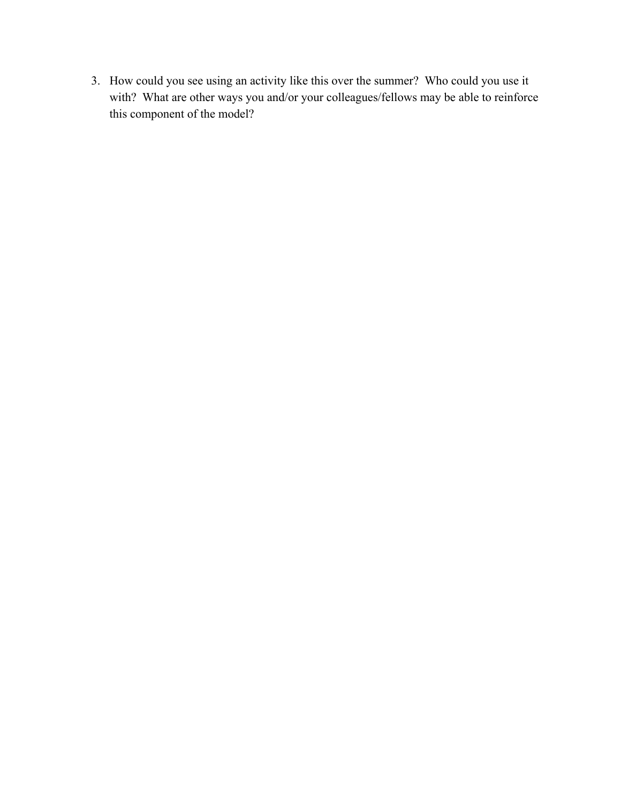3. How could you see using an activity like this over the summer? Who could you use it with? What are other ways you and/or your colleagues/fellows may be able to reinforce this component of the model?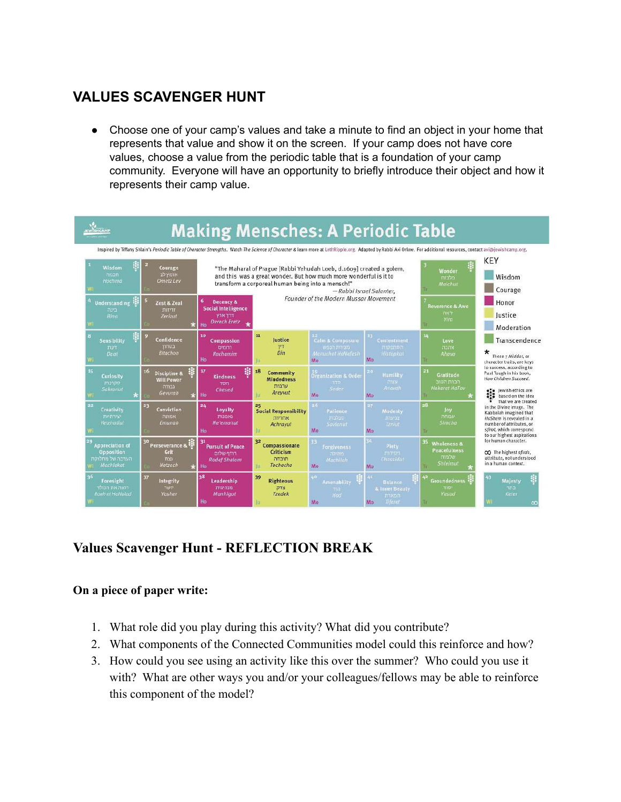# <span id="page-5-0"></span>**VALUES SCAVENGER HUNT**

• Choose one of your camp's values and take a minute to find an object in your home that represents that value and show it on the screen. If your camp does not have core values, choose a value from the periodic table that is a foundation of your camp community. Everyone will have an opportunity to briefly introduce their object and how it represents their camp value.



# **Values Scavenger Hunt - REFLECTION BREAK**

#### **On a piece of paper write:**

- 1. What role did you play during this activity? What did you contribute?
- 2. What components of the Connected Communities model could this reinforce and how?
- 3. How could you see using an activity like this over the summer? Who could you use it with? What are other ways you and/or your colleagues/fellows may be able to reinforce this component of the model?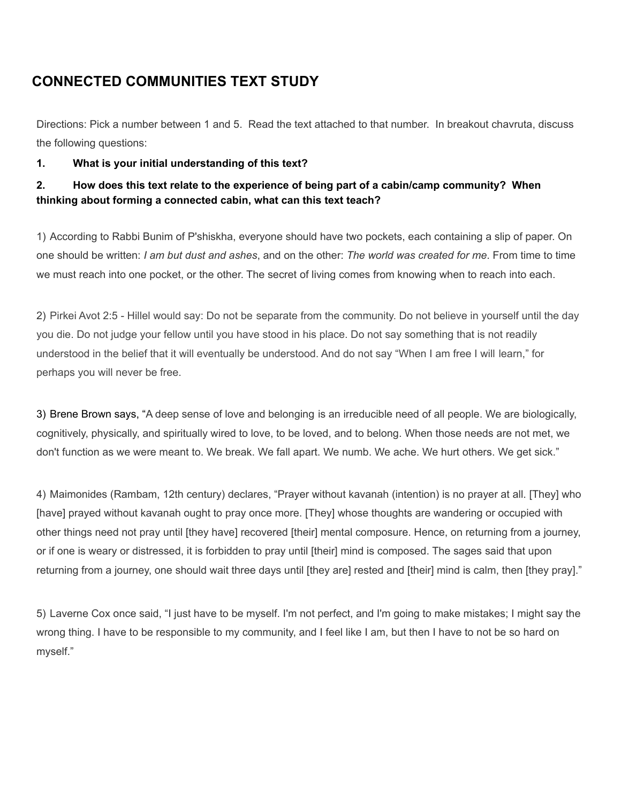# <span id="page-6-0"></span>**CONNECTED COMMUNITIES TEXT STUDY**

Directions: Pick a number between 1 and 5. Read the text attached to that number. In breakout chavruta, discuss the following questions:

#### **1. What is your initial understanding of this text?**

#### **2. How does this text relate to the experience of being part of a cabin/camp community? When thinking about forming a connected cabin, what can this text teach?**

1) According to Rabbi Bunim of P'shiskha, everyone should have two pockets, each containing a slip of paper. On one should be written: *I am but dust and ashes*, and on the other: *The world was created for me*. From time to time we must reach into one pocket, or the other. The secret of living comes from knowing when to reach into each.

2) Pirkei Avot 2:5 - Hillel would say: Do not be separate from the community. Do not believe in yourself until the day you die. Do not judge your fellow until you have stood in his place. Do not say something that is not readily understood in the belief that it will eventually be understood. And do not say "When I am free I will learn," for perhaps you will never be free.

3) Brene Brown says, "A deep sense of love and belonging is an irreducible need of all people. We are biologically, cognitively, physically, and spiritually wired to love, to be loved, and to belong. When those needs are not met, we don't function as we were meant to. We break. We fall apart. We numb. We ache. We hurt others. We get sick."

4) Maimonides (Rambam, 12th century) declares, "Prayer without kavanah (intention) is no prayer at all. [They] who [have] prayed without kavanah ought to pray once more. [They] whose thoughts are wandering or occupied with other things need not pray until [they have] recovered [their] mental composure. Hence, on returning from a journey, or if one is weary or distressed, it is forbidden to pray until [their] mind is composed. The sages said that upon returning from a journey, one should wait three days until [they are] rested and [their] mind is calm, then [they pray]."

5) Laverne Cox once said, "I just have to be myself. I'm not perfect, and I'm going to make mistakes; I might say the wrong thing. I have to be responsible to my community, and I feel like I am, but then I have to not be so hard on myself."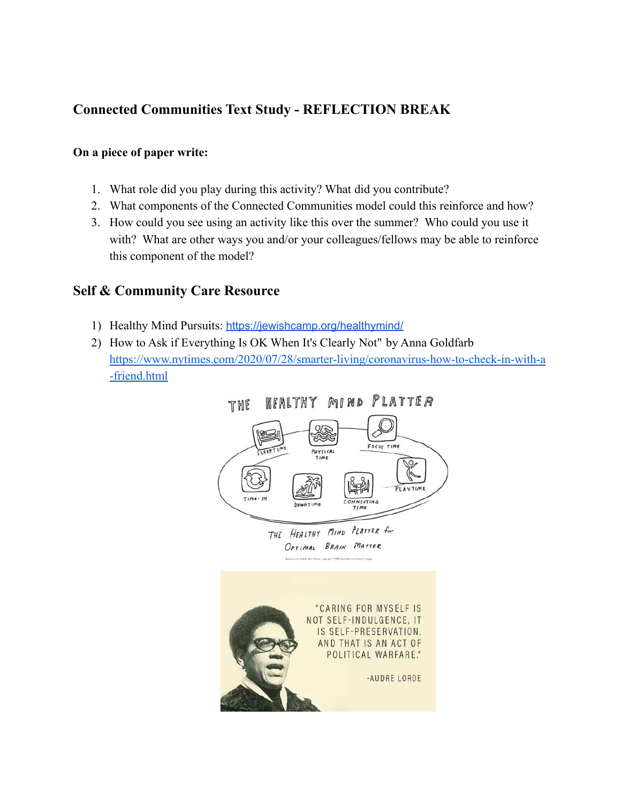## **Connected Communities Text Study - REFLECTION BREAK**

#### **On a piece of paper write:**

- 1. What role did you play during this activity? What did you contribute?
- 2. What components of the Connected Communities model could this reinforce and how?
- 3. How could you see using an activity like this over the summer? Who could you use it with? What are other ways you and/or your colleagues/fellows may be able to reinforce this component of the model?

## <span id="page-7-0"></span>**Self & Community Care Resource**

- 1) Healthy Mind Pursuits: <https://jewishcamp.org/healthymind/>
- 2) How to Ask if Everything Is OK When It's Clearly Not" by Anna Goldfarb [https://www.nytimes.com/2020/07/28/smarter-living/coronavirus-how-to-check-in-with-a](https://www.nytimes.com/2020/07/28/smarter-living/coronavirus-how-to-check-in-with-a-friend.html) [-friend.html](https://www.nytimes.com/2020/07/28/smarter-living/coronavirus-how-to-check-in-with-a-friend.html)

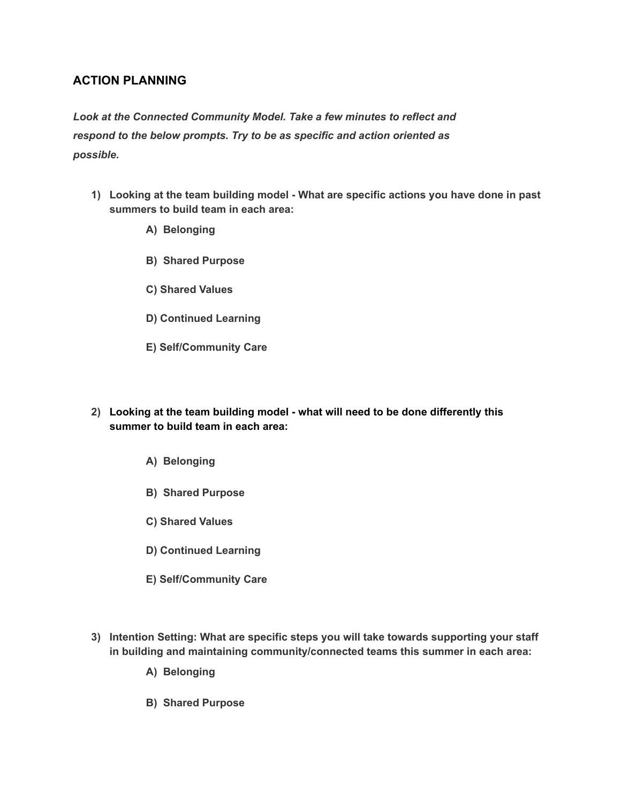#### <span id="page-9-0"></span>**ACTION PLANNING**

*Look at the Connected Community Model. Take a few minutes to reflect and respond to the below prompts. Try to be as specific and action oriented as possible.*

- **1) Looking at the team building model What are specific actions you have done in past summers to build team in each area:**
	- **A) Belonging**
	- **B) Shared Purpose**
	- **C) Shared Values**
	- **D) Continued Learning**
	- **E) Self/Community Care**
- **2) Looking at the team building model what will need to be done differently this summer to build team in each area:**
	- **A) Belonging**
	- **B) Shared Purpose**
	- **C) Shared Values**
	- **D) Continued Learning**
	- **E) Self/Community Care**
- **3) Intention Setting: What are specific steps you will take towards supporting your staff in building and maintaining community/connected teams this summer in each area:**
	- **A) Belonging**
	- **B) Shared Purpose**